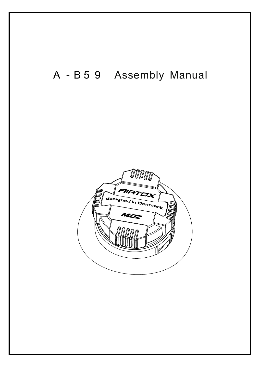## A-B59 Assembly Manual

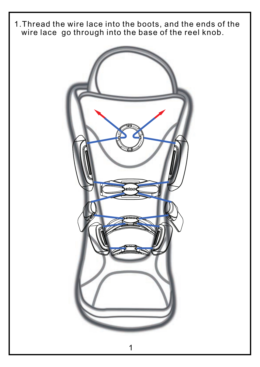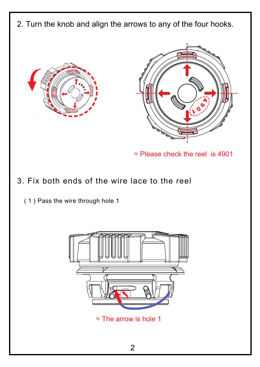2. Turn the knob and align the arrows to any of the four hooks.





◎ Please check the reel is 4901

## 3. Fix both ends of the wire lace to the reel

( 1 ) Pass the wire through hole 1



◎ The arrow is hole 1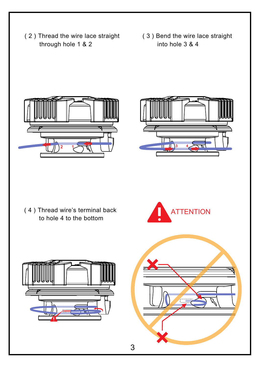- (2) Thread the wire lace straight (3) Bend the wire lace straight through hole 1 & 2
	- into hole 3 & 4





( 4 ) Thread wire's terminal back to hole 4 to the bottom





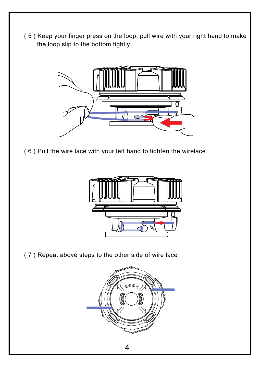( 5 ) Keep your finger press on the loop, pull wire with your right hand to make the loop slip to the bottom tightly



( 6 ) Pull the wire lace with your left hand to tighten the wirelace



( 7 ) Repeat above steps to the other side of wire lace

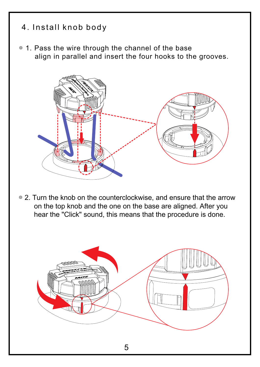## 4. Install knob body

◎ 1. Pass the wire through the channel of the base align in parallel and insert the four hooks to the grooves.



◎ 2. Turn the knob on the counterclockwise, and ensure that the arrow on the top knob and the one on the base are aligned. After you hear the "Click" sound, this means that the procedure is done.